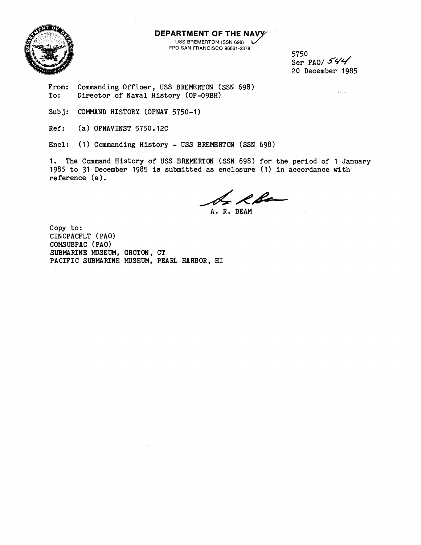**DEPARTMENT OF THE NAVY** 

USS BREMERTON (SSN 698) L FPO SAN FRANCISCO 96661-2378

5750 Ser PAO/  $544$ 20 December 1985

From: Commanding Officer, USS BREMERTON (SSN 698)<br>To: Director of Naval History (OP-09BH) Director of Naval History (OP-09BH)

- Subj: COMMAND HISTORY (OPNAV 5750-1)
- Ref: (a) OPNAVINST 5750.12C

Encl: (1) Commanding History - USS BREMERTON (SSN 698)

1. The Command History of USS BREMERTON (SSN 698) for the period of 1 January 1985 to 31 December 1985 is submitted as enclosure (1) in accordance with reference (a).

L R Be

A. R. BEAM

Copy to: CINCPACFLT (PAO) COMSUBPAC (PAO) SUBMARINE MUSEUM, GROTON, CT PACIFIC SUBMARINE MUSEUM, PEARL HARBOR, HI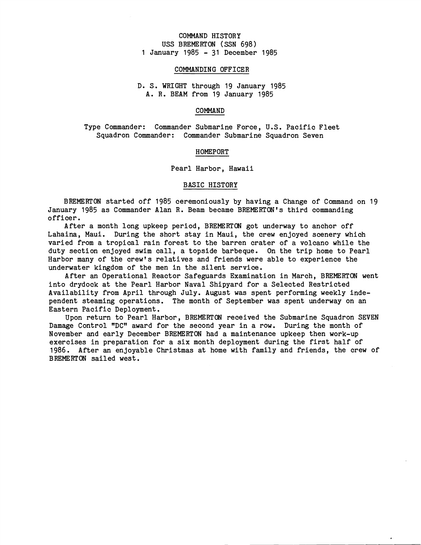# COMMAND HISTORY USS BREMERTON (SSN 698) 1 January 1985 - 31 December 1985

#### COMMANDING OFFICER

# D. S. WRIGHT through 19 January 1985 A. R. BEAM from 19 January 1985

### COMMAND

Type Commander: Commander Submarine Force, U.S. Pacific Fleet Squadron Commander: Commander Submarine Squadron Seven

HOMEPORT

Pearl Harbor, Hawaii

#### BASIC HISTORY

BREMERTON started off 1985 ceremoniously by having a Change of Command on 19 January 1985 as Commander Alan R. Beam became BREMERTON's third commanding officer.

After a month long upkeep period, BREMERTON got underway to anchor off Lahaina, Maui. During the short stay in Maui, the crew enjoyed scenery which varied from a tropical rain forest to the barren crater of a volcano while the duty section enjoyed swim call, a topside barbeque. On the trip home to Pearl Harbor many of the crew's relatives and friends were able to experience the underwater kingdom of the men in the silent service.

After an Operational Reactor Safeguards Examination in March, BREMERTON went into drydock at the Pearl Harbor Naval Shipyard for a Selected Restricted Availability from April through July. August was spent performing weekly independent steaming operations. The month of September was spent underway on an Eastern Pacific Deployment.

Upon return to Pearl Harbor, BREMERTON received the Submarine Squadron SEVEN Damage Control "DC" award for the second year in a row. During the month of November and early December BREMERTON had a maintenance upkeep then work-up exercises in preparation for a six month deployment during the first half of 1986. After an enjoyable Christmas at home with family and friends, the crew of BREMERTON sailed west.